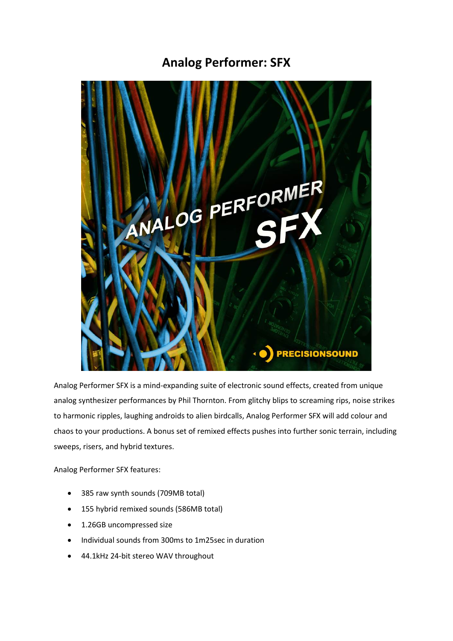# **Analog Performer: SFX**



Analog Performer SFX is a mind-expanding suite of electronic sound effects, created from unique analog synthesizer performances by Phil Thornton. From glitchy blips to screaming rips, noise strikes to harmonic ripples, laughing androids to alien birdcalls, Analog Performer SFX will add colour and chaos to your productions. A bonus set of remixed effects pushes into further sonic terrain, including sweeps, risers, and hybrid textures.

Analog Performer SFX features:

- 385 raw synth sounds (709MB total)
- 155 hybrid remixed sounds (586MB total)
- 1.26GB uncompressed size
- Individual sounds from 300ms to 1m25sec in duration
- 44.1kHz 24-bit stereo WAV throughout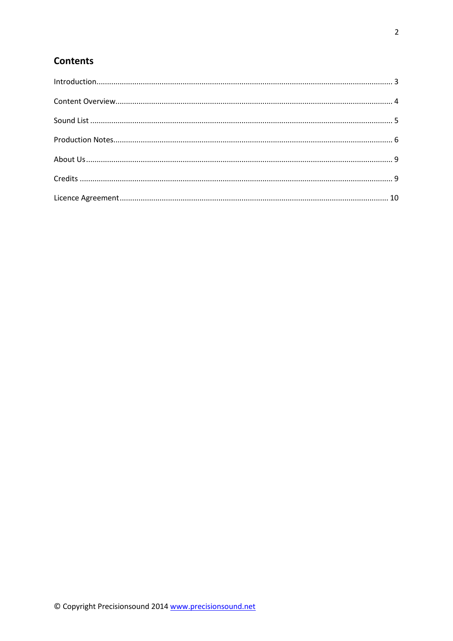## **Contents**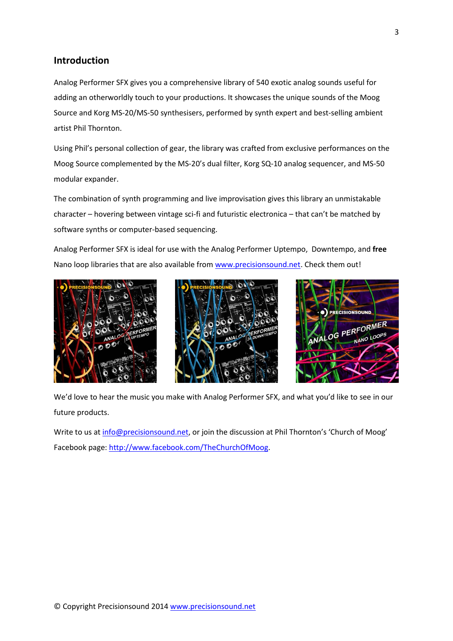### <span id="page-2-0"></span>**Introduction**

Analog Performer SFX gives you a comprehensive library of 540 exotic analog sounds useful for adding an otherworldly touch to your productions. It showcases the unique sounds of the Moog Source and Korg MS-20/MS-50 synthesisers, performed by synth expert and best-selling ambient artist Phil Thornton.

Using Phil's personal collection of gear, the library was crafted from exclusive performances on the Moog Source complemented by the MS-20's dual filter, Korg SQ-10 analog sequencer, and MS-50 modular expander.

The combination of synth programming and live improvisation gives this library an unmistakable character – hovering between vintage sci-fi and futuristic electronica – that can't be matched by software synths or computer-based sequencing.

Analog Performer SFX is ideal for use with the Analog Performer Uptempo, Downtempo, and **free**  Nano loop libraries that are also available from [www.precisionsound.net.](http://www.precisionsound.net/) Check them out!







We'd love to hear the music you make with Analog Performer SFX, and what you'd like to see in our future products.

Write to us a[t info@precisionsound.net,](mailto:info@precisionsound.net) or join the discussion at Phil Thornton's 'Church of Moog' Facebook page: [http://www.facebook.com/TheChurchOfMoog.](http://www.facebook.com/TheChurchOfMoog)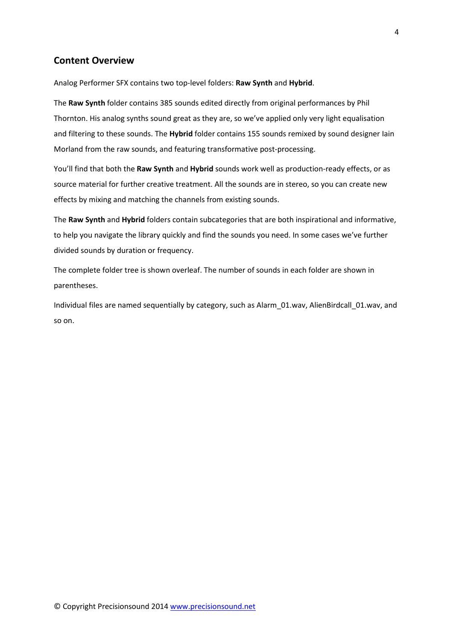### <span id="page-3-0"></span>**Content Overview**

Analog Performer SFX contains two top-level folders: **Raw Synth** and **Hybrid**.

The **Raw Synth** folder contains 385 sounds edited directly from original performances by Phil Thornton. His analog synths sound great as they are, so we've applied only very light equalisation and filtering to these sounds. The **Hybrid** folder contains 155 sounds remixed by sound designer Iain Morland from the raw sounds, and featuring transformative post-processing.

You'll find that both the **Raw Synth** and **Hybrid** sounds work well as production-ready effects, or as source material for further creative treatment. All the sounds are in stereo, so you can create new effects by mixing and matching the channels from existing sounds.

The **Raw Synth** and **Hybrid** folders contain subcategories that are both inspirational and informative, to help you navigate the library quickly and find the sounds you need. In some cases we've further divided sounds by duration or frequency.

The complete folder tree is shown overleaf. The number of sounds in each folder are shown in parentheses.

Individual files are named sequentially by category, such as Alarm\_01.wav, AlienBirdcall\_01.wav, and so on.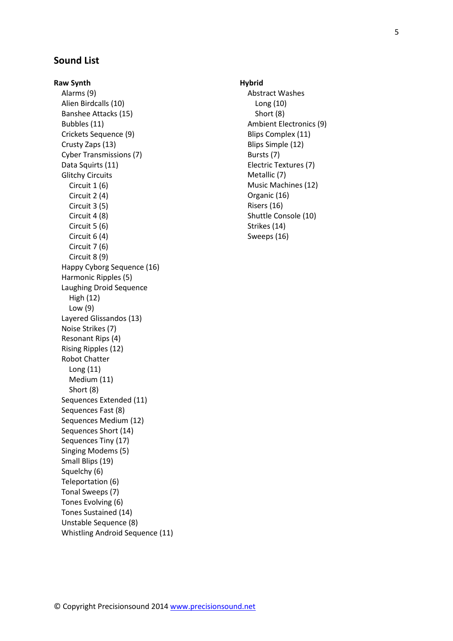### <span id="page-4-0"></span>**Sound List**

**Raw Synth** Alarms (9) Alien Birdcalls (10) Banshee Attacks (15) Bubbles (11) Crickets Sequence (9) Crusty Zaps (13) Cyber Transmissions (7) Data Squirts (11) Glitchy Circuits Circuit 1 (6) Circuit 2 (4) Circuit 3 (5) Circuit 4 (8) Circuit 5 (6) Circuit 6 (4) Circuit 7 (6) Circuit 8 (9) Happy Cyborg Sequence (16) Harmonic Ripples (5) Laughing Droid Sequence High (12) Low (9) Layered Glissandos (13) Noise Strikes (7) Resonant Rips (4) Rising Ripples (12) Robot Chatter Long (11) Medium (11) Short (8) Sequences Extended (11) Sequences Fast (8) Sequences Medium (12) Sequences Short (14) Sequences Tiny (17) Singing Modems (5) Small Blips (19) Squelchy (6) Teleportation (6) Tonal Sweeps (7) Tones Evolving (6) Tones Sustained (14) Unstable Sequence (8) Whistling Android Sequence (11)

### **Hybrid** Abstract Washes Long (10) Short (8) Ambient Electronics (9) Blips Complex (11) Blips Simple (12) Bursts (7) Electric Textures (7) Metallic (7) Music Machines (12) Organic (16) Risers (16) Shuttle Console (10) Strikes (14)

Sweeps (16)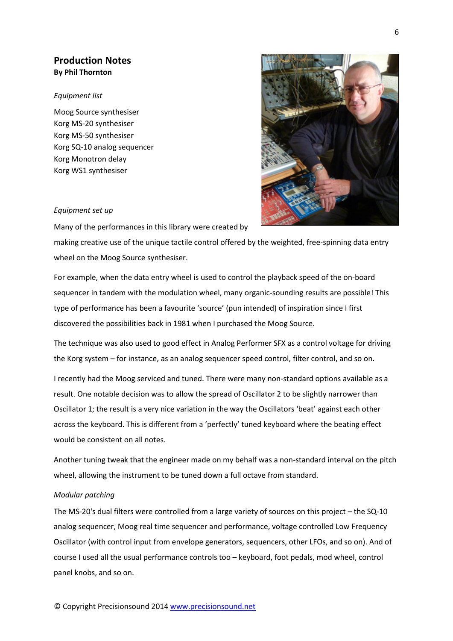### <span id="page-5-0"></span>**Production Notes By Phil Thornton**

#### *Equipment list*

Moog Source synthesiser Korg MS-20 synthesiser Korg MS-50 synthesiser Korg SQ-10 analog sequencer Korg Monotron delay Korg WS1 synthesiser



#### *Equipment set up*

Many of the performances in this library were created by

making creative use of the unique tactile control offered by the weighted, free-spinning data entry wheel on the Moog Source synthesiser.

For example, when the data entry wheel is used to control the playback speed of the on-board sequencer in tandem with the modulation wheel, many organic-sounding results are possible! This type of performance has been a favourite 'source' (pun intended) of inspiration since I first discovered the possibilities back in 1981 when I purchased the Moog Source.

The technique was also used to good effect in Analog Performer SFX as a control voltage for driving the Korg system – for instance, as an analog sequencer speed control, filter control, and so on.

I recently had the Moog serviced and tuned. There were many non-standard options available as a result. One notable decision was to allow the spread of Oscillator 2 to be slightly narrower than Oscillator 1; the result is a very nice variation in the way the Oscillators 'beat' against each other across the keyboard. This is different from a 'perfectly' tuned keyboard where the beating effect would be consistent on all notes.

Another tuning tweak that the engineer made on my behalf was a non-standard interval on the pitch wheel, allowing the instrument to be tuned down a full octave from standard.

#### *Modular patching*

The MS-20's dual filters were controlled from a large variety of sources on this project – the SQ-10 analog sequencer, Moog real time sequencer and performance, voltage controlled Low Frequency Oscillator (with control input from envelope generators, sequencers, other LFOs, and so on). And of course I used all the usual performance controls too – keyboard, foot pedals, mod wheel, control panel knobs, and so on.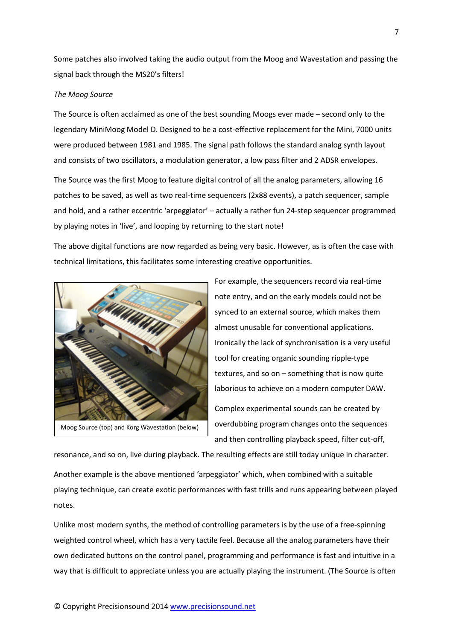Some patches also involved taking the audio output from the Moog and Wavestation and passing the signal back through the MS20's filters!

#### *The Moog Source*

The Source is often acclaimed as one of the best sounding Moogs ever made – second only to the legendary MiniMoog Model D. Designed to be a cost-effective replacement for the Mini, 7000 units were produced between 1981 and 1985. The signal path follows the standard analog synth layout and consists of two oscillators, a modulation generator, a low pass filter and 2 ADSR envelopes.

The Source was the first Moog to feature digital control of all the analog parameters, allowing 16 patches to be saved, as well as two real-time sequencers (2x88 events), a patch sequencer, sample and hold, and a rather eccentric 'arpeggiator' – actually a rather fun 24-step sequencer programmed by playing notes in 'live', and looping by returning to the start note!

The above digital functions are now regarded as being very basic. However, as is often the case with technical limitations, this facilitates some interesting creative opportunities.



For example, the sequencers record via real-time note entry, and on the early models could not be synced to an external source, which makes them almost unusable for conventional applications. Ironically the lack of synchronisation is a very useful tool for creating organic sounding ripple-type textures, and so on – something that is now quite laborious to achieve on a modern computer DAW. Complex experimental sounds can be created by

overdubbing program changes onto the sequences and then controlling playback speed, filter cut-off,

resonance, and so on, live during playback. The resulting effects are still today unique in character. Another example is the above mentioned 'arpeggiator' which, when combined with a suitable playing technique, can create exotic performances with fast trills and runs appearing between played notes.

Unlike most modern synths, the method of controlling parameters is by the use of a free-spinning weighted control wheel, which has a very tactile feel. Because all the analog parameters have their own dedicated buttons on the control panel, programming and performance is fast and intuitive in a way that is difficult to appreciate unless you are actually playing the instrument. (The Source is often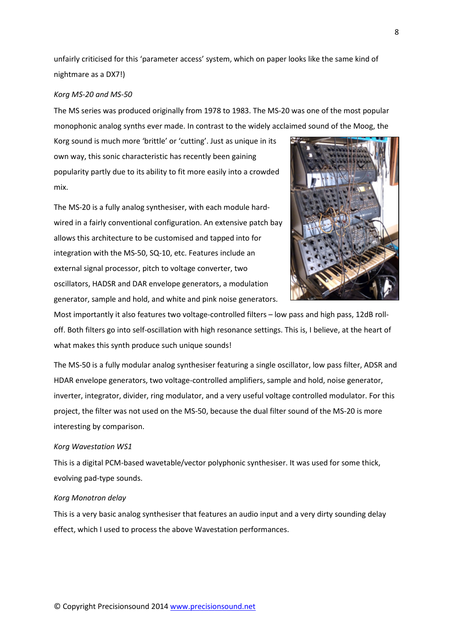unfairly criticised for this 'parameter access' system, which on paper looks like the same kind of nightmare as a DX7!)

#### *Korg MS-20 and MS-50*

The MS series was produced originally from 1978 to 1983. The MS-20 was one of the most popular monophonic analog synths ever made. In contrast to the widely acclaimed sound of the Moog, the

Korg sound is much more 'brittle' or 'cutting'. Just as unique in its own way, this sonic characteristic has recently been gaining popularity partly due to its ability to fit more easily into a crowded mix.

The MS-20 is a fully analog synthesiser, with each module hardwired in a fairly conventional configuration. An extensive patch bay allows this architecture to be customised and tapped into for integration with the MS-50, SQ-10, etc. Features include an external signal processor, pitch to voltage converter, two oscillators, HADSR and DAR envelope generators, a modulation generator, sample and hold, and white and pink noise generators.



Most importantly it also features two voltage-controlled filters – low pass and high pass, 12dB rolloff. Both filters go into self-oscillation with high resonance settings. This is, I believe, at the heart of what makes this synth produce such unique sounds!

The MS-50 is a fully modular analog synthesiser featuring a single oscillator, low pass filter, ADSR and HDAR envelope generators, two voltage-controlled amplifiers, sample and hold, noise generator, inverter, integrator, divider, ring modulator, and a very useful voltage controlled modulator. For this project, the filter was not used on the MS-50, because the dual filter sound of the MS-20 is more interesting by comparison.

#### *Korg Wavestation WS1*

This is a digital PCM-based wavetable/vector polyphonic synthesiser. It was used for some thick, evolving pad-type sounds.

#### *Korg Monotron delay*

This is a very basic analog synthesiser that features an audio input and a very dirty sounding delay effect, which I used to process the above Wavestation performances.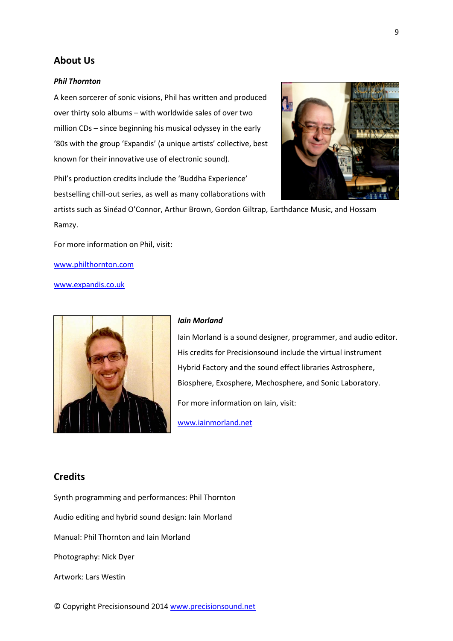### <span id="page-8-0"></span>**About Us**

#### *Phil Thornton*

A keen sorcerer of sonic visions, Phil has written and produced over thirty solo albums – with worldwide sales of over two million CDs – since beginning his musical odyssey in the early '80s with the group 'Expandis' (a unique artists' collective, best known for their innovative use of electronic sound).

Phil's production credits include the 'Buddha Experience' bestselling chill-out series, as well as many collaborations with



artists such as Sinéad O'Connor, Arthur Brown, Gordon Giltrap, Earthdance Music, and Hossam Ramzy.

For more information on Phil, visit:

[www.philthornton.com](http://www.philthornton.com/)

[www.expandis.co.uk](http://www.expandis.co.uk/)



#### *Iain Morland*

Iain Morland is a sound designer, programmer, and audio editor. His credits for Precisionsound include the virtual instrument Hybrid Factory and the sound effect libraries Astrosphere, Biosphere, Exosphere, Mechosphere, and Sonic Laboratory. For more information on Iain, visit:

[www.iainmorland.net](http://www.iainmorland.net/)

### <span id="page-8-1"></span>**Credits**

Synth programming and performances: Phil Thornton

Audio editing and hybrid sound design: Iain Morland

Manual: Phil Thornton and Iain Morland

Photography: Nick Dyer

Artwork: Lars Westin